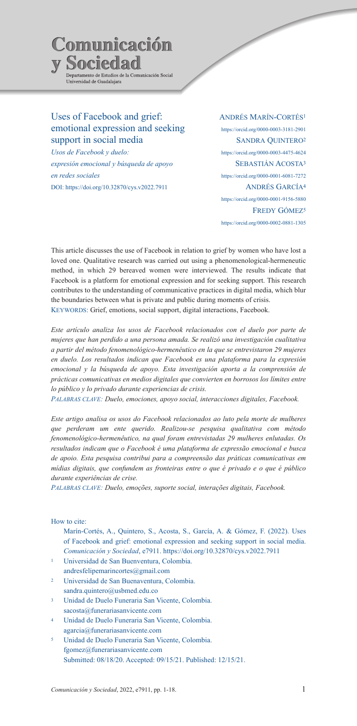

# Uses of Facebook and grief: emotional expression and seeking support in social media

*Usos de Facebook y duelo: expresión emocional y búsqueda de apoyo en redes sociales* DOI: https://doi.org/10.32870/cys.v2022.7911

# Andrés Marín-Cortés1 https://orcid.org/0000-0003-3181-2901 Sandra Quintero2 https://orcid.org/0000-0003-4475-4624 SEBASTIÁN ACOSTA<sup>3</sup> https://orcid.org/0000-0001-6081-7272 Andrés García4 https://orcid.org/0000-0001-9156-5880 FREDY GÓMEZ<sup>5</sup> https://orcid.org/0000-0002-0881-1305

This article discusses the use of Facebook in relation to grief by women who have lost a loved one. Qualitative research was carried out using a phenomenological-hermeneutic method, in which 29 bereaved women were interviewed. The results indicate that Facebook is a platform for emotional expression and for seeking support. This research contributes to the understanding of communicative practices in digital media, which blur the boundaries between what is private and public during moments of crisis. KEYWORDS: Grief, emotions, social support, digital interactions, Facebook.

*Este artículo analiza los usos de Facebook relacionados con el duelo por parte de mujeres que han perdido a una persona amada. Se realizó una investigación cualitativa a partir del método fenomenológico-hermenéutico en la que se entrevistaron 29 mujeres en duelo. Los resultados indican que Facebook es una plataforma para la expresión emocional y la búsqueda de apoyo. Esta investigación aporta a la comprensión de prácticas comunicativas en medios digitales que convierten en borrosos los límites entre lo público y lo privado durante experiencias de crisis.*

*Palabras clave: Duelo, emociones, apoyo social, interacciones digitales, Facebook.*

*Este artigo analisa os usos do Facebook relacionados ao luto pela morte de mulheres que perderam um ente querido. Realizou-se pesquisa qualitativa com método fenomenológico-hermenêutico, na qual foram entrevistadas 29 mulheres enlutadas. Os resultados indicam que o Facebook é uma plataforma de expressão emocional e busca de apoio. Esta pesquisa contribui para a compreensão das práticas comunicativas em mídias digitais, que confundem as fronteiras entre o que é privado e o que é público durante experiências de crise.*

*Palabras clave: Duelo, emoções, suporte social, interações digitais, Facebook.*

# How to cite:

Marín-Cortés, A., Quintero, S., Acosta, S., García, A. & Gómez, F. (2022). Uses of Facebook and grief: emotional expression and seeking support in social media. *Comunicación y Sociedad*, e7911. https://doi.org/10.32870/cys.v2022.7911

- <sup>1</sup> Universidad de San Buenventura, Colombia. andresfelipemarincortes@gmail.com
- <sup>2</sup> Universidad de San Buenaventura, Colombia. sandra.quintero@usbmed.edu.co
- <sup>3</sup> Unidad de Duelo Funeraria San Vicente, Colombia. sacosta@funerariasanvicente.com
- <sup>4</sup> Unidad de Duelo Funeraria San Vicente, Colombia. agarcia@funerariasanvicente.com
- <sup>5</sup> Unidad de Duelo Funeraria San Vicente, Colombia. fgomez@funerariasanvicente.com Submitted: 08/18/20. Accepted: 09/15/21. Published: 12/15/21.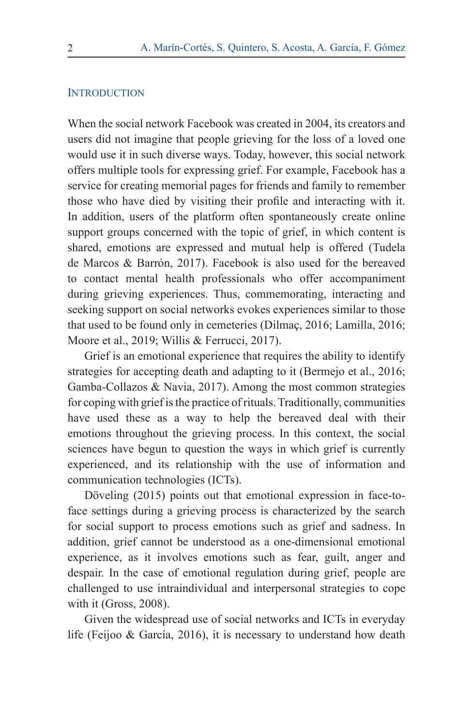# **INTRODUCTION**

When the social network Facebook was created in 2004, its creators and users did not imagine that people grieving for the loss of a loved one would use it in such diverse ways. Today, however, this social network offers multiple tools for expressing grief. For example, Facebook has a service for creating memorial pages for friends and family to remember those who have died by visiting their profile and interacting with it. In addition, users of the platform often spontaneously create online support groups concerned with the topic of grief, in which content is shared, emotions are expressed and mutual help is offered (Tudela de Marcos & Barrón, 2017). Facebook is also used for the bereaved to contact mental health professionals who offer accompaniment during grieving experiences. Thus, commemorating, interacting and seeking support on social networks evokes experiences similar to those that used to be found only in cemeteries (Dilmaç, 2016; Lamilla, 2016; Moore et al., 2019; Willis & Ferrucci, 2017).

Grief is an emotional experience that requires the ability to identify strategies for accepting death and adapting to it (Bermejo et al., 2016; Gamba-Collazos & Navia, 2017). Among the most common strategies for coping with grief is the practice of rituals. Traditionally, communities have used these as a way to help the bereaved deal with their emotions throughout the grieving process. In this context, the social sciences have begun to question the ways in which grief is currently experienced, and its relationship with the use of information and communication technologies (ICTs).

Döveling (2015) points out that emotional expression in face-toface settings during a grieving process is characterized by the search for social support to process emotions such as grief and sadness. In addition, grief cannot be understood as a one-dimensional emotional experience, as it involves emotions such as fear, guilt, anger and despair. In the case of emotional regulation during grief, people are challenged to use intraindividual and interpersonal strategies to cope with it (Gross, 2008).

Given the widespread use of social networks and ICTs in everyday life (Feijoo & García, 2016), it is necessary to understand how death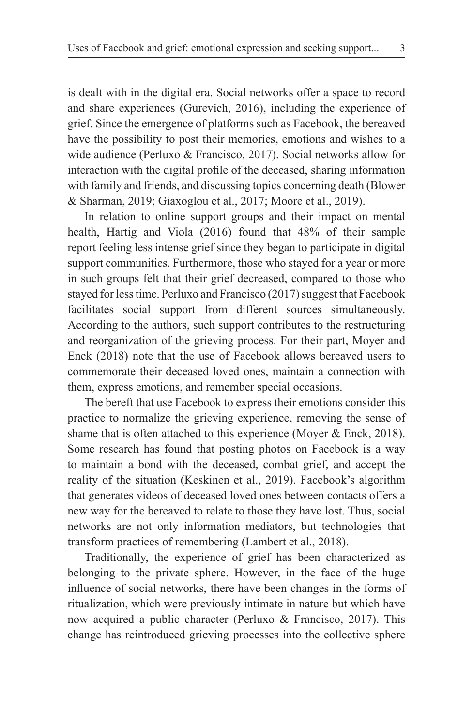is dealt with in the digital era. Social networks offer a space to record and share experiences (Gurevich, 2016), including the experience of grief. Since the emergence of platforms such as Facebook, the bereaved have the possibility to post their memories, emotions and wishes to a wide audience (Perluxo & Francisco, 2017). Social networks allow for interaction with the digital profile of the deceased, sharing information with family and friends, and discussing topics concerning death (Blower & Sharman, 2019; Giaxoglou et al., 2017; Moore et al., 2019).

In relation to online support groups and their impact on mental health, Hartig and Viola (2016) found that 48% of their sample report feeling less intense grief since they began to participate in digital support communities. Furthermore, those who stayed for a year or more in such groups felt that their grief decreased, compared to those who stayed for less time. Perluxo and Francisco (2017) suggest that Facebook facilitates social support from different sources simultaneously. According to the authors, such support contributes to the restructuring and reorganization of the grieving process. For their part, Moyer and Enck (2018) note that the use of Facebook allows bereaved users to commemorate their deceased loved ones, maintain a connection with them, express emotions, and remember special occasions.

The bereft that use Facebook to express their emotions consider this practice to normalize the grieving experience, removing the sense of shame that is often attached to this experience (Moyer & Enck, 2018). Some research has found that posting photos on Facebook is a way to maintain a bond with the deceased, combat grief, and accept the reality of the situation (Keskinen et al., 2019). Facebook's algorithm that generates videos of deceased loved ones between contacts offers a new way for the bereaved to relate to those they have lost. Thus, social networks are not only information mediators, but technologies that transform practices of remembering (Lambert et al., 2018).

Traditionally, the experience of grief has been characterized as belonging to the private sphere. However, in the face of the huge influence of social networks, there have been changes in the forms of ritualization, which were previously intimate in nature but which have now acquired a public character (Perluxo & Francisco, 2017). This change has reintroduced grieving processes into the collective sphere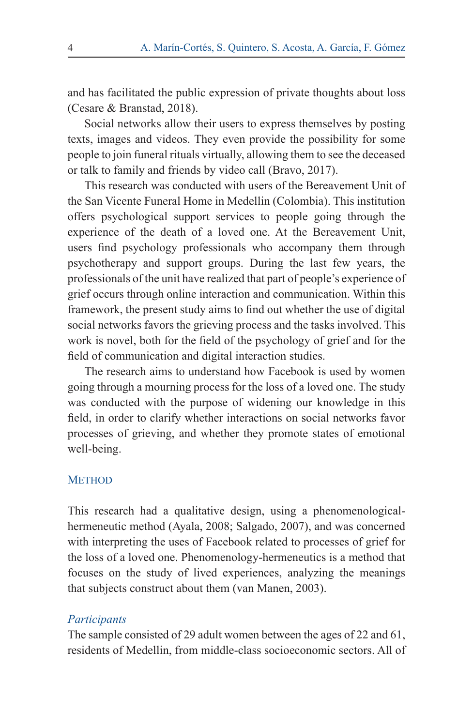and has facilitated the public expression of private thoughts about loss (Cesare & Branstad, 2018).

Social networks allow their users to express themselves by posting texts, images and videos. They even provide the possibility for some people to join funeral rituals virtually, allowing them to see the deceased or talk to family and friends by video call (Bravo, 2017).

This research was conducted with users of the Bereavement Unit of the San Vicente Funeral Home in Medellin (Colombia). This institution offers psychological support services to people going through the experience of the death of a loved one. At the Bereavement Unit, users find psychology professionals who accompany them through psychotherapy and support groups. During the last few years, the professionals of the unit have realized that part of people's experience of grief occurs through online interaction and communication. Within this framework, the present study aims to find out whether the use of digital social networks favors the grieving process and the tasks involved. This work is novel, both for the field of the psychology of grief and for the field of communication and digital interaction studies.

The research aims to understand how Facebook is used by women going through a mourning process for the loss of a loved one. The study was conducted with the purpose of widening our knowledge in this field, in order to clarify whether interactions on social networks favor processes of grieving, and whether they promote states of emotional well-being.

### **METHOD**

This research had a qualitative design, using a phenomenologicalhermeneutic method (Ayala, 2008; Salgado, 2007), and was concerned with interpreting the uses of Facebook related to processes of grief for the loss of a loved one. Phenomenology-hermeneutics is a method that focuses on the study of lived experiences, analyzing the meanings that subjects construct about them (van Manen, 2003).

### *Participants*

The sample consisted of 29 adult women between the ages of 22 and 61, residents of Medellin, from middle-class socioeconomic sectors. All of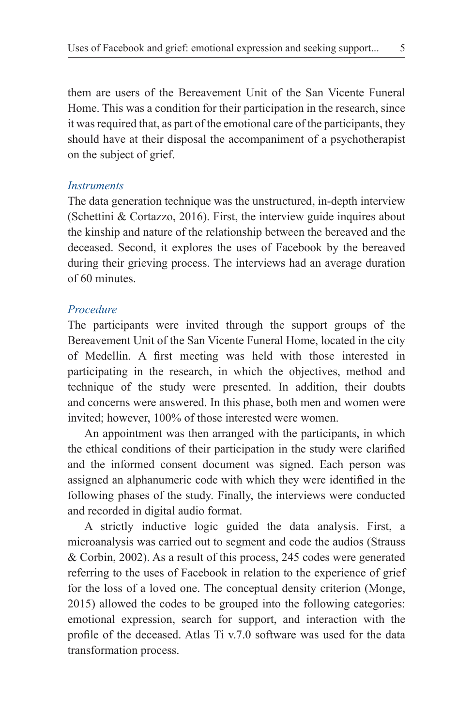them are users of the Bereavement Unit of the San Vicente Funeral Home. This was a condition for their participation in the research, since it was required that, as part of the emotional care of the participants, they should have at their disposal the accompaniment of a psychotherapist on the subject of grief.

# *Instruments*

The data generation technique was the unstructured, in-depth interview (Schettini & Cortazzo, 2016). First, the interview guide inquires about the kinship and nature of the relationship between the bereaved and the deceased. Second, it explores the uses of Facebook by the bereaved during their grieving process. The interviews had an average duration of 60 minutes.

# *Procedure*

The participants were invited through the support groups of the Bereavement Unit of the San Vicente Funeral Home, located in the city of Medellin. A first meeting was held with those interested in participating in the research, in which the objectives, method and technique of the study were presented. In addition, their doubts and concerns were answered. In this phase, both men and women were invited; however, 100% of those interested were women.

An appointment was then arranged with the participants, in which the ethical conditions of their participation in the study were clarified and the informed consent document was signed. Each person was assigned an alphanumeric code with which they were identified in the following phases of the study. Finally, the interviews were conducted and recorded in digital audio format.

A strictly inductive logic guided the data analysis. First, a microanalysis was carried out to segment and code the audios (Strauss & Corbin, 2002). As a result of this process, 245 codes were generated referring to the uses of Facebook in relation to the experience of grief for the loss of a loved one. The conceptual density criterion (Monge, 2015) allowed the codes to be grouped into the following categories: emotional expression, search for support, and interaction with the profile of the deceased. Atlas Ti v.7.0 software was used for the data transformation process.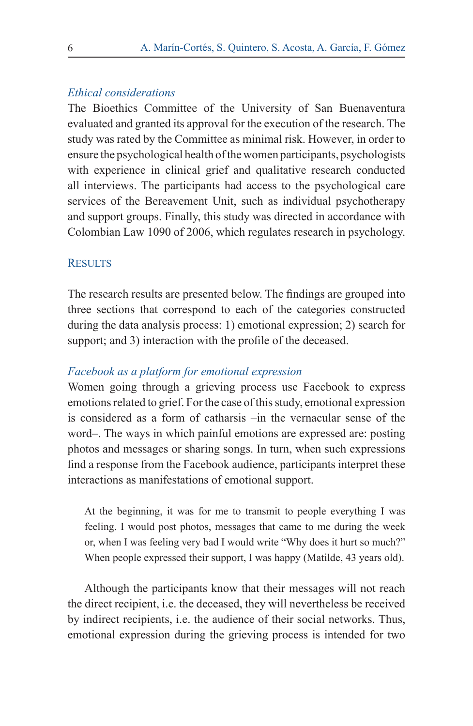### *Ethical considerations*

The Bioethics Committee of the University of San Buenaventura evaluated and granted its approval for the execution of the research. The study was rated by the Committee as minimal risk. However, in order to ensure the psychological health of the women participants, psychologists with experience in clinical grief and qualitative research conducted all interviews. The participants had access to the psychological care services of the Bereavement Unit, such as individual psychotherapy and support groups. Finally, this study was directed in accordance with Colombian Law 1090 of 2006, which regulates research in psychology.

### **RESULTS**

The research results are presented below. The findings are grouped into three sections that correspond to each of the categories constructed during the data analysis process: 1) emotional expression; 2) search for support; and 3) interaction with the profile of the deceased.

# *Facebook as a platform for emotional expression*

Women going through a grieving process use Facebook to express emotions related to grief. For the case of this study, emotional expression is considered as a form of catharsis –in the vernacular sense of the word–. The ways in which painful emotions are expressed are: posting photos and messages or sharing songs. In turn, when such expressions find a response from the Facebook audience, participants interpret these interactions as manifestations of emotional support.

At the beginning, it was for me to transmit to people everything I was feeling. I would post photos, messages that came to me during the week or, when I was feeling very bad I would write "Why does it hurt so much?" When people expressed their support, I was happy (Matilde, 43 years old).

Although the participants know that their messages will not reach the direct recipient, i.e. the deceased, they will nevertheless be received by indirect recipients, i.e. the audience of their social networks. Thus, emotional expression during the grieving process is intended for two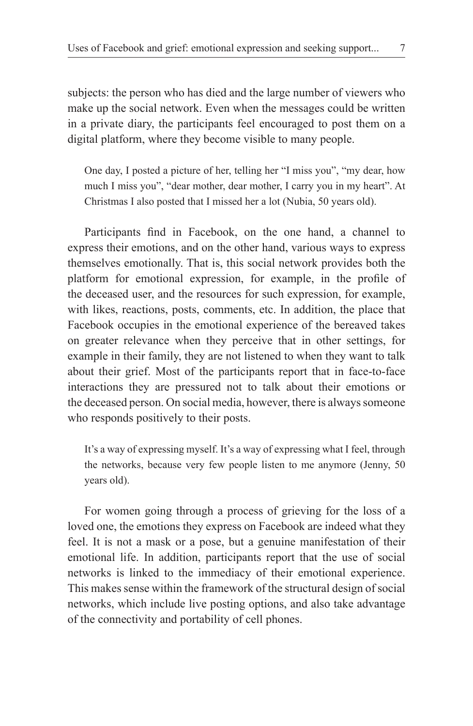subjects: the person who has died and the large number of viewers who make up the social network. Even when the messages could be written in a private diary, the participants feel encouraged to post them on a digital platform, where they become visible to many people.

One day, I posted a picture of her, telling her "I miss you", "my dear, how much I miss you", "dear mother, dear mother, I carry you in my heart". At Christmas I also posted that I missed her a lot (Nubia, 50 years old).

Participants find in Facebook, on the one hand, a channel to express their emotions, and on the other hand, various ways to express themselves emotionally. That is, this social network provides both the platform for emotional expression, for example, in the profile of the deceased user, and the resources for such expression, for example, with likes, reactions, posts, comments, etc. In addition, the place that Facebook occupies in the emotional experience of the bereaved takes on greater relevance when they perceive that in other settings, for example in their family, they are not listened to when they want to talk about their grief. Most of the participants report that in face-to-face interactions they are pressured not to talk about their emotions or the deceased person. On social media, however, there is always someone who responds positively to their posts.

It's a way of expressing myself. It's a way of expressing what I feel, through the networks, because very few people listen to me anymore (Jenny, 50 years old).

For women going through a process of grieving for the loss of a loved one, the emotions they express on Facebook are indeed what they feel. It is not a mask or a pose, but a genuine manifestation of their emotional life. In addition, participants report that the use of social networks is linked to the immediacy of their emotional experience. This makes sense within the framework of the structural design of social networks, which include live posting options, and also take advantage of the connectivity and portability of cell phones.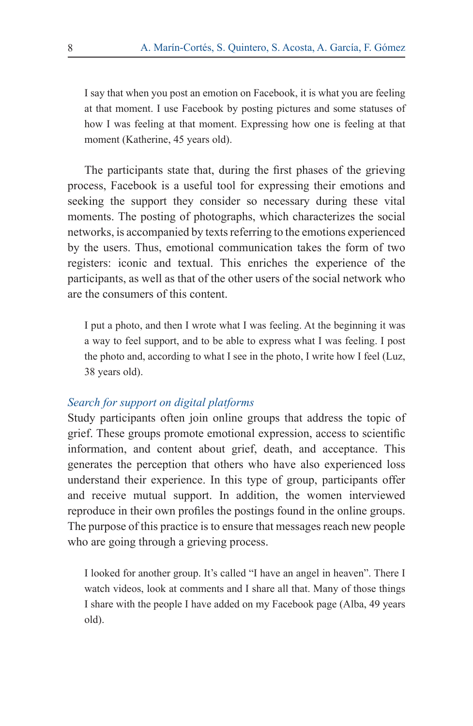I say that when you post an emotion on Facebook, it is what you are feeling at that moment. I use Facebook by posting pictures and some statuses of how I was feeling at that moment. Expressing how one is feeling at that moment (Katherine, 45 years old).

The participants state that, during the first phases of the grieving process, Facebook is a useful tool for expressing their emotions and seeking the support they consider so necessary during these vital moments. The posting of photographs, which characterizes the social networks, is accompanied by texts referring to the emotions experienced by the users. Thus, emotional communication takes the form of two registers: iconic and textual. This enriches the experience of the participants, as well as that of the other users of the social network who are the consumers of this content.

I put a photo, and then I wrote what I was feeling. At the beginning it was a way to feel support, and to be able to express what I was feeling. I post the photo and, according to what I see in the photo, I write how I feel (Luz, 38 years old).

# *Search for support on digital platforms*

Study participants often join online groups that address the topic of grief. These groups promote emotional expression, access to scientific information, and content about grief, death, and acceptance. This generates the perception that others who have also experienced loss understand their experience. In this type of group, participants offer and receive mutual support. In addition, the women interviewed reproduce in their own profiles the postings found in the online groups. The purpose of this practice is to ensure that messages reach new people who are going through a grieving process.

I looked for another group. It's called "I have an angel in heaven". There I watch videos, look at comments and I share all that. Many of those things I share with the people I have added on my Facebook page (Alba, 49 years old).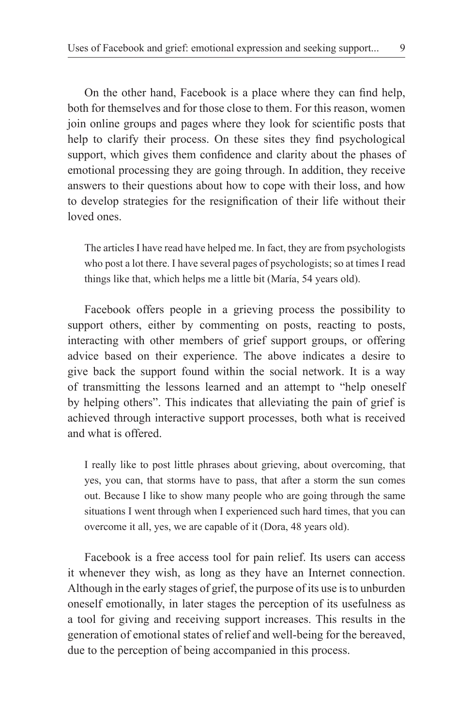On the other hand, Facebook is a place where they can find help, both for themselves and for those close to them. For this reason, women join online groups and pages where they look for scientific posts that help to clarify their process. On these sites they find psychological support, which gives them confidence and clarity about the phases of emotional processing they are going through. In addition, they receive answers to their questions about how to cope with their loss, and how to develop strategies for the resignification of their life without their loved ones.

The articles I have read have helped me. In fact, they are from psychologists who post a lot there. I have several pages of psychologists; so at times I read things like that, which helps me a little bit (María, 54 years old).

Facebook offers people in a grieving process the possibility to support others, either by commenting on posts, reacting to posts, interacting with other members of grief support groups, or offering advice based on their experience. The above indicates a desire to give back the support found within the social network. It is a way of transmitting the lessons learned and an attempt to "help oneself by helping others". This indicates that alleviating the pain of grief is achieved through interactive support processes, both what is received and what is offered.

I really like to post little phrases about grieving, about overcoming, that yes, you can, that storms have to pass, that after a storm the sun comes out. Because I like to show many people who are going through the same situations I went through when I experienced such hard times, that you can overcome it all, yes, we are capable of it (Dora, 48 years old).

Facebook is a free access tool for pain relief. Its users can access it whenever they wish, as long as they have an Internet connection. Although in the early stages of grief, the purpose of its use is to unburden oneself emotionally, in later stages the perception of its usefulness as a tool for giving and receiving support increases. This results in the generation of emotional states of relief and well-being for the bereaved, due to the perception of being accompanied in this process.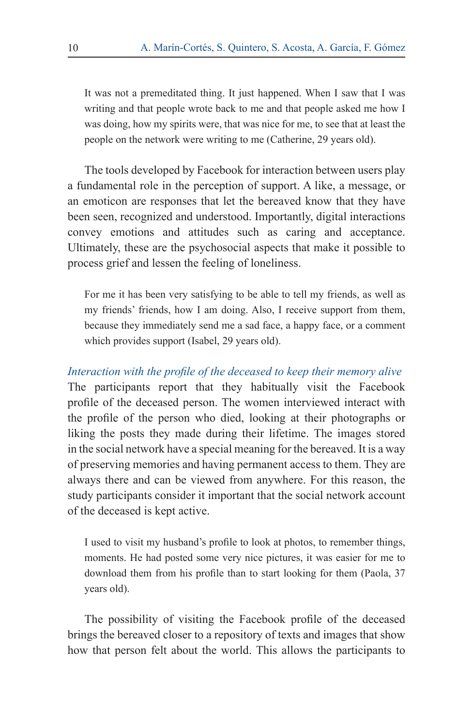It was not a premeditated thing. It just happened. When I saw that I was writing and that people wrote back to me and that people asked me how I was doing, how my spirits were, that was nice for me, to see that at least the people on the network were writing to me (Catherine, 29 years old).

The tools developed by Facebook for interaction between users play a fundamental role in the perception of support. A like, a message, or an emoticon are responses that let the bereaved know that they have been seen, recognized and understood. Importantly, digital interactions convey emotions and attitudes such as caring and acceptance. Ultimately, these are the psychosocial aspects that make it possible to process grief and lessen the feeling of loneliness.

For me it has been very satisfying to be able to tell my friends, as well as my friends' friends, how I am doing. Also, I receive support from them, because they immediately send me a sad face, a happy face, or a comment which provides support (Isabel, 29 years old).

*Interaction with the profile of the deceased to keep their memory alive* The participants report that they habitually visit the Facebook profile of the deceased person. The women interviewed interact with the profile of the person who died, looking at their photographs or liking the posts they made during their lifetime. The images stored in the social network have a special meaning for the bereaved. It is a way of preserving memories and having permanent access to them. They are always there and can be viewed from anywhere. For this reason, the study participants consider it important that the social network account of the deceased is kept active.

I used to visit my husband's profile to look at photos, to remember things, moments. He had posted some very nice pictures, it was easier for me to download them from his profile than to start looking for them (Paola, 37 years old).

The possibility of visiting the Facebook profile of the deceased brings the bereaved closer to a repository of texts and images that show how that person felt about the world. This allows the participants to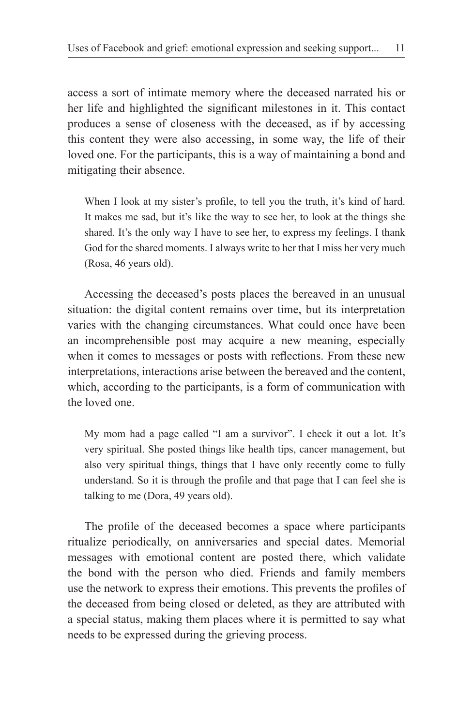access a sort of intimate memory where the deceased narrated his or her life and highlighted the significant milestones in it. This contact produces a sense of closeness with the deceased, as if by accessing this content they were also accessing, in some way, the life of their loved one. For the participants, this is a way of maintaining a bond and mitigating their absence.

When I look at my sister's profile, to tell you the truth, it's kind of hard. It makes me sad, but it's like the way to see her, to look at the things she shared. It's the only way I have to see her, to express my feelings. I thank God for the shared moments. I always write to her that I miss her very much (Rosa, 46 years old).

Accessing the deceased's posts places the bereaved in an unusual situation: the digital content remains over time, but its interpretation varies with the changing circumstances. What could once have been an incomprehensible post may acquire a new meaning, especially when it comes to messages or posts with reflections. From these new interpretations, interactions arise between the bereaved and the content, which, according to the participants, is a form of communication with the loved one.

My mom had a page called "I am a survivor". I check it out a lot. It's very spiritual. She posted things like health tips, cancer management, but also very spiritual things, things that I have only recently come to fully understand. So it is through the profile and that page that I can feel she is talking to me (Dora, 49 years old).

The profile of the deceased becomes a space where participants ritualize periodically, on anniversaries and special dates. Memorial messages with emotional content are posted there, which validate the bond with the person who died. Friends and family members use the network to express their emotions. This prevents the profiles of the deceased from being closed or deleted, as they are attributed with a special status, making them places where it is permitted to say what needs to be expressed during the grieving process.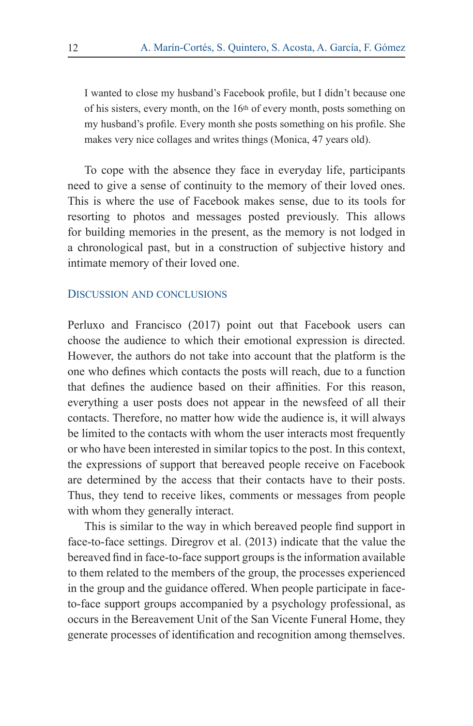I wanted to close my husband's Facebook profile, but I didn't because one of his sisters, every month, on the 16th of every month, posts something on my husband's profile. Every month she posts something on his profile. She makes very nice collages and writes things (Monica, 47 years old).

To cope with the absence they face in everyday life, participants need to give a sense of continuity to the memory of their loved ones. This is where the use of Facebook makes sense, due to its tools for resorting to photos and messages posted previously. This allows for building memories in the present, as the memory is not lodged in a chronological past, but in a construction of subjective history and intimate memory of their loved one.

### Discussion and conclusions

Perluxo and Francisco (2017) point out that Facebook users can choose the audience to which their emotional expression is directed. However, the authors do not take into account that the platform is the one who defines which contacts the posts will reach, due to a function that defines the audience based on their affinities. For this reason, everything a user posts does not appear in the newsfeed of all their contacts. Therefore, no matter how wide the audience is, it will always be limited to the contacts with whom the user interacts most frequently or who have been interested in similar topics to the post. In this context, the expressions of support that bereaved people receive on Facebook are determined by the access that their contacts have to their posts. Thus, they tend to receive likes, comments or messages from people with whom they generally interact.

This is similar to the way in which bereaved people find support in face-to-face settings. Diregrov et al. (2013) indicate that the value the bereaved find in face-to-face support groups is the information available to them related to the members of the group, the processes experienced in the group and the guidance offered. When people participate in faceto-face support groups accompanied by a psychology professional, as occurs in the Bereavement Unit of the San Vicente Funeral Home, they generate processes of identification and recognition among themselves.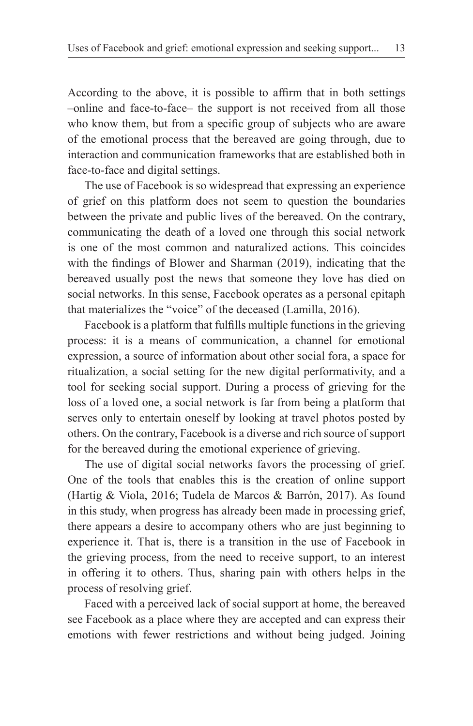According to the above, it is possible to affirm that in both settings –online and face-to-face– the support is not received from all those who know them, but from a specific group of subjects who are aware of the emotional process that the bereaved are going through, due to interaction and communication frameworks that are established both in face-to-face and digital settings.

The use of Facebook is so widespread that expressing an experience of grief on this platform does not seem to question the boundaries between the private and public lives of the bereaved. On the contrary, communicating the death of a loved one through this social network is one of the most common and naturalized actions. This coincides with the findings of Blower and Sharman (2019), indicating that the bereaved usually post the news that someone they love has died on social networks. In this sense, Facebook operates as a personal epitaph that materializes the "voice" of the deceased (Lamilla, 2016).

Facebook is a platform that fulfills multiple functions in the grieving process: it is a means of communication, a channel for emotional expression, a source of information about other social fora, a space for ritualization, a social setting for the new digital performativity, and a tool for seeking social support. During a process of grieving for the loss of a loved one, a social network is far from being a platform that serves only to entertain oneself by looking at travel photos posted by others. On the contrary, Facebook is a diverse and rich source of support for the bereaved during the emotional experience of grieving.

The use of digital social networks favors the processing of grief. One of the tools that enables this is the creation of online support (Hartig & Viola, 2016; Tudela de Marcos & Barrón, 2017). As found in this study, when progress has already been made in processing grief, there appears a desire to accompany others who are just beginning to experience it. That is, there is a transition in the use of Facebook in the grieving process, from the need to receive support, to an interest in offering it to others. Thus, sharing pain with others helps in the process of resolving grief.

Faced with a perceived lack of social support at home, the bereaved see Facebook as a place where they are accepted and can express their emotions with fewer restrictions and without being judged. Joining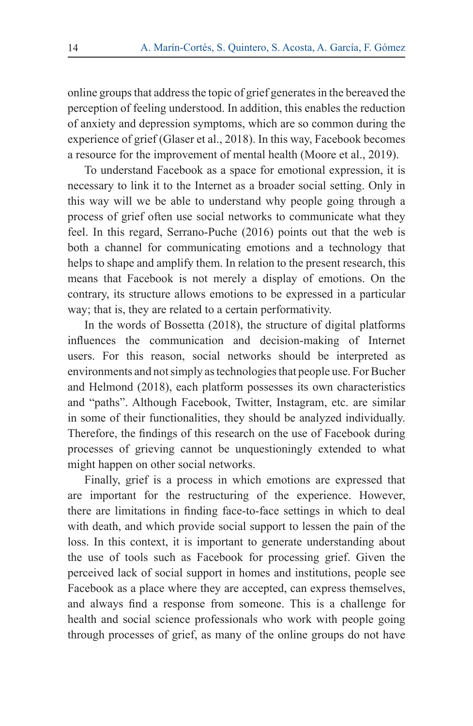online groups that address the topic of grief generates in the bereaved the perception of feeling understood. In addition, this enables the reduction of anxiety and depression symptoms, which are so common during the experience of grief (Glaser et al., 2018). In this way, Facebook becomes a resource for the improvement of mental health (Moore et al., 2019).

To understand Facebook as a space for emotional expression, it is necessary to link it to the Internet as a broader social setting. Only in this way will we be able to understand why people going through a process of grief often use social networks to communicate what they feel. In this regard, Serrano-Puche (2016) points out that the web is both a channel for communicating emotions and a technology that helps to shape and amplify them. In relation to the present research, this means that Facebook is not merely a display of emotions. On the contrary, its structure allows emotions to be expressed in a particular way; that is, they are related to a certain performativity.

In the words of Bossetta (2018), the structure of digital platforms influences the communication and decision-making of Internet users. For this reason, social networks should be interpreted as environments and not simply as technologies that people use. For Bucher and Helmond (2018), each platform possesses its own characteristics and "paths". Although Facebook, Twitter, Instagram, etc. are similar in some of their functionalities, they should be analyzed individually. Therefore, the findings of this research on the use of Facebook during processes of grieving cannot be unquestioningly extended to what might happen on other social networks.

Finally, grief is a process in which emotions are expressed that are important for the restructuring of the experience. However, there are limitations in finding face-to-face settings in which to deal with death, and which provide social support to lessen the pain of the loss. In this context, it is important to generate understanding about the use of tools such as Facebook for processing grief. Given the perceived lack of social support in homes and institutions, people see Facebook as a place where they are accepted, can express themselves, and always find a response from someone. This is a challenge for health and social science professionals who work with people going through processes of grief, as many of the online groups do not have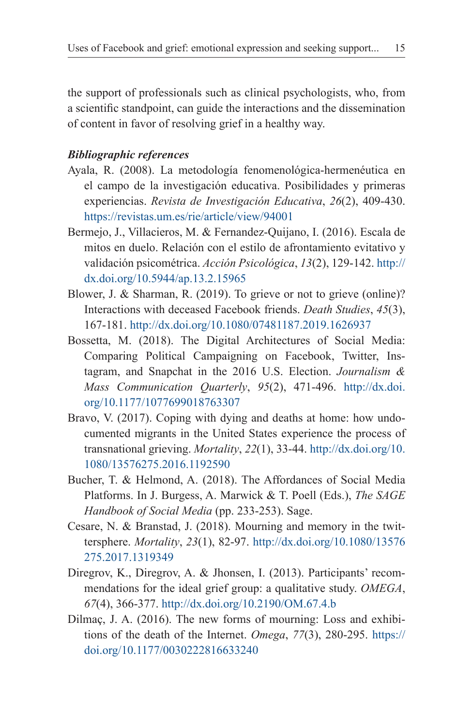the support of professionals such as clinical psychologists, who, from a scientific standpoint, can guide the interactions and the dissemination of content in favor of resolving grief in a healthy way.

# *Bibliographic references*

- Ayala, R. (2008). La metodología fenomenológica-hermenéutica en el campo de la investigación educativa. Posibilidades y primeras experiencias. *Revista de Investigación Educativa*, *26*(2), 409-430. https://revistas.um.es/rie/article/view/94001
- Bermejo, J., Villacieros, M. & Fernandez-Quijano, I. (2016). Escala de mitos en duelo. Relación con el estilo de afrontamiento evitativo y validación psicométrica. *Acción Psicológica*, *13*(2), 129-142. http:// dx.doi.org/10.5944/ap.13.2.15965
- Blower, J. & Sharman, R. (2019). To grieve or not to grieve (online)? Interactions with deceased Facebook friends. *Death Studies*, *45*(3), 167-181. http://dx.doi.org/10.1080/07481187.2019.1626937
- Bossetta, M. (2018). The Digital Architectures of Social Media: Comparing Political Campaigning on Facebook, Twitter, Instagram, and Snapchat in the 2016 U.S. Election. *Journalism & Mass Communication Quarterly*, *95*(2), 471-496. http://dx.doi. org/10.1177/1077699018763307
- Bravo, V. (2017). Coping with dying and deaths at home: how undocumented migrants in the United States experience the process of transnational grieving. *Mortality*, *22*(1), 33-44. http://dx.doi.org/10. 1080/13576275.2016.1192590
- Bucher, T. & Helmond, A. (2018). The Affordances of Social Media Platforms. In J. Burgess, A. Marwick & T. Poell (Eds.), *The SAGE Handbook of Social Media* (pp. 233-253). Sage.
- Cesare, N. & Branstad, J. (2018). Mourning and memory in the twittersphere. *Mortality*, *23*(1), 82-97. http://dx.doi.org/10.1080/13576 275.2017.1319349
- Diregrov, K., Diregrov, A. & Jhonsen, I. (2013). Participants' recommendations for the ideal grief group: a qualitative study. *OMEGA*, *67*(4), 366-377. http://dx.doi.org/10.2190/OM.67.4.b
- Dilmaç, J. A. (2016). The new forms of mourning: Loss and exhibitions of the death of the Internet. *Omega*, *77*(3), 280-295. https:// doi.org/10.1177/0030222816633240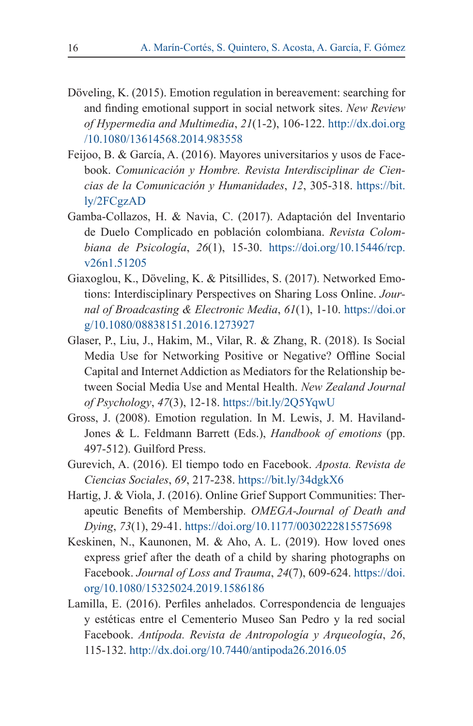- Döveling, K. (2015). Emotion regulation in bereavement: searching for and finding emotional support in social network sites. *New Review of Hypermedia and Multimedia*, *21*(1-2), 106-122. http://dx.doi.org /10.1080/13614568.2014.983558
- Feijoo, B. & García, A. (2016). Mayores universitarios y usos de Facebook. *Comunicación y Hombre. Revista Interdisciplinar de Ciencias de la Comunicación y Humanidades*, *12*, 305-318. https://bit. ly/2FCgzAD
- Gamba-Collazos, H. & Navia, C. (2017). Adaptación del Inventario de Duelo Complicado en población colombiana. *Revista Colombiana de Psicología*, *26*(1), 15-30. https://doi.org/10.15446/rcp. v26n1.51205
- Giaxoglou, K., Döveling, K. & Pitsillides, S. (2017). Networked Emotions: Interdisciplinary Perspectives on Sharing Loss Online. *Journal of Broadcasting & Electronic Media*, *61*(1), 1-10. https://doi.or g/10.1080/08838151.2016.1273927
- Glaser, P., Liu, J., Hakim, M., Vilar, R. & Zhang, R. (2018). Is Social Media Use for Networking Positive or Negative? Offline Social Capital and Internet Addiction as Mediators for the Relationship between Social Media Use and Mental Health. *New Zealand Journal of Psychology*, *47*(3), 12-18. https://bit.ly/2Q5YqwU
- Gross, J. (2008). Emotion regulation. In M. Lewis, J. M. Haviland-Jones & L. Feldmann Barrett (Eds.), *Handbook of emotions* (pp. 497-512). Guilford Press.
- Gurevich, A. (2016). El tiempo todo en Facebook. *Aposta. Revista de Ciencias Sociales*, *69*, 217-238. https://bit.ly/34dgkX6
- Hartig, J. & Viola, J. (2016). Online Grief Support Communities: Therapeutic Benefits of Membership. *OMEGA-Journal of Death and Dying*, *73*(1), 29-41. https://doi.org/10.1177/0030222815575698
- Keskinen, N., Kaunonen, M. & Aho, A. L. (2019). How loved ones express grief after the death of a child by sharing photographs on Facebook. *Journal of Loss and Trauma*, *24*(7), 609-624. https://doi. org/10.1080/15325024.2019.1586186
- Lamilla, E. (2016). Perfiles anhelados. Correspondencia de lenguajes y estéticas entre el Cementerio Museo San Pedro y la red social Facebook. *Antípoda. Revista de Antropología y Arqueología*, *26*, 115-132. http://dx.doi.org/10.7440/antipoda26.2016.05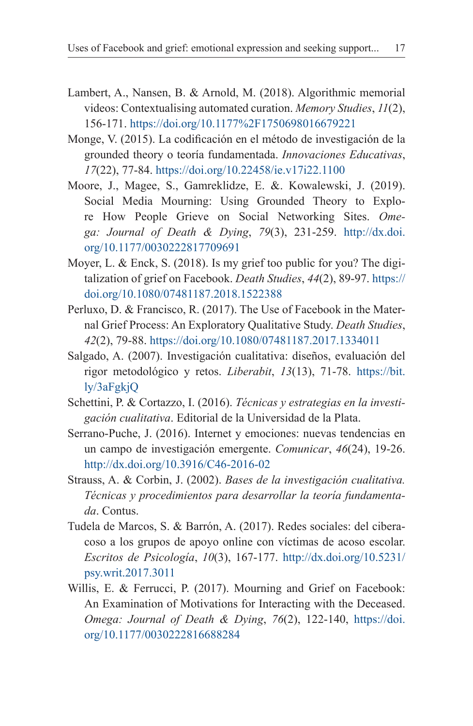- Lambert, A., Nansen, B. & Arnold, M. (2018). Algorithmic memorial videos: Contextualising automated curation. *Memory Studies*, *11*(2), 156-171. https://doi.org/10.1177%2F1750698016679221
- Monge, V. (2015). La codificación en el método de investigación de la grounded theory o teoría fundamentada. *Innovaciones Educativas*, *17*(22), 77-84. https://doi.org/10.22458/ie.v17i22.1100
- Moore, J., Magee, S., Gamreklidze, E. &. Kowalewski, J. (2019). Social Media Mourning: Using Grounded Theory to Explore How People Grieve on Social Networking Sites. *Omega: Journal of Death & Dying*, *79*(3), 231-259. http://dx.doi. org/10.1177/0030222817709691
- Moyer, L. & Enck, S. (2018). Is my grief too public for you? The digitalization of grief on Facebook. *Death Studies*, *44*(2), 89-97. https:// doi.org/10.1080/07481187.2018.1522388
- Perluxo, D. & Francisco, R. (2017). The Use of Facebook in the Maternal Grief Process: An Exploratory Qualitative Study. *Death Studies*, *42*(2), 79-88. https://doi.org/10.1080/07481187.2017.1334011
- Salgado, A. (2007). Investigación cualitativa: diseños, evaluación del rigor metodológico y retos. *Liberabit*, *13*(13), 71-78. https://bit. ly/3aFgkjQ
- Schettini, P. & Cortazzo, I. (2016). *Técnicas y estrategias en la investigación cualitativa*. Editorial de la Universidad de la Plata.
- Serrano-Puche, J. (2016). Internet y emociones: nuevas tendencias en un campo de investigación emergente. *Comunicar*, *46*(24), 19-26. http://dx.doi.org/10.3916/C46-2016-02
- Strauss, A. & Corbin, J. (2002). *Bases de la investigación cualitativa. Técnicas y procedimientos para desarrollar la teoría fundamentada*. Contus.
- Tudela de Marcos, S. & Barrón, A. (2017). Redes sociales: del ciberacoso a los grupos de apoyo online con víctimas de acoso escolar. *Escritos de Psicología*, *10*(3), 167-177. http://dx.doi.org/10.5231/ psy.writ.2017.3011
- Willis, E. & Ferrucci, P. (2017). Mourning and Grief on Facebook: An Examination of Motivations for Interacting with the Deceased. *Omega: Journal of Death & Dying*, *76*(2), 122-140, https://doi. org/10.1177/0030222816688284